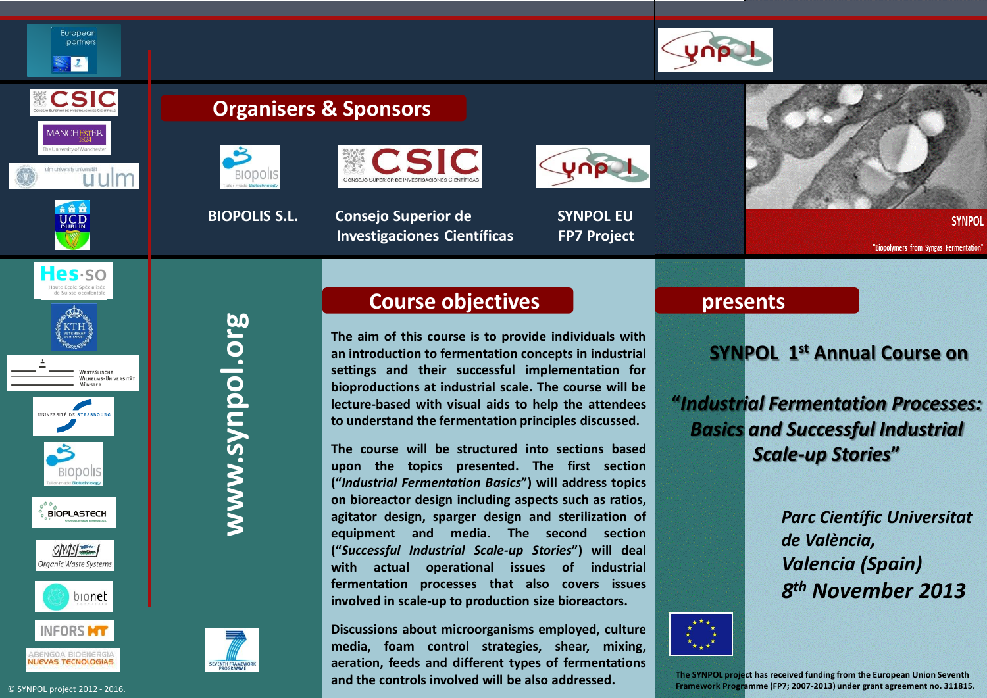

a å å **UCD** 

Hes-so

WESTFÄLISCHE WILHELMS-UNIVERSITÄT **MÜNSTER** 

IVERSITÉ DE STRASBOILE

**BIOPLASTECH** 

 $OMISI$ Organic Waste Systems

bionet

European partners  $\vert$ 

## **Organisers & Sponsors**





 **BIOPOLIS S.L. Consejo Superior de SYNPOL EU Investigaciones Científicas FP7 Project**





**SYNPOL** 

"Biopolymers from Syngas Fermentation"





**SEVENTH FRAMI** 

## **Course objectives**

**The aim of this course is to provide individuals with an introduction to fermentation concepts in industrial settings and their successful implementation for bioproductions at industrial scale. The course will be lecture-based with visual aids to help the attendees to understand the fermentation principles discussed.**

**The course will be structured into sections based upon the topics presented. The first section ("***Industrial Fermentation Basics***") will address topics on bioreactor design including aspects such as ratios, agitator design, sparger design and sterilization of equipment and media. The second section ("***Successful Industrial Scale-up Stories***") will deal with actual operational issues of industrial fermentation processes that also covers issues involved in scale-up to production size bioreactors.**

**Discussions about microorganisms employed, culture media, foam control strategies, shear, mixing, aeration, feeds and different types of fermentations and the controls involved will be also addressed.**

## **presents**

## **SYNPOL 1 st Annual Course on**

**"***Industrial Fermentation Processes: Basics and Successful Industrial Scale-up Stories***"**

> *Parc Científic Universitat de València, Valencia (Spain) 8 th November 2013*



**The SYNPOL project has received funding from the European Union Seventh Framework Programme (FP7; 2007-2013) under grant agreement no. 311815.**

**INFORS MT** 

**SOA RIOENERGIA**